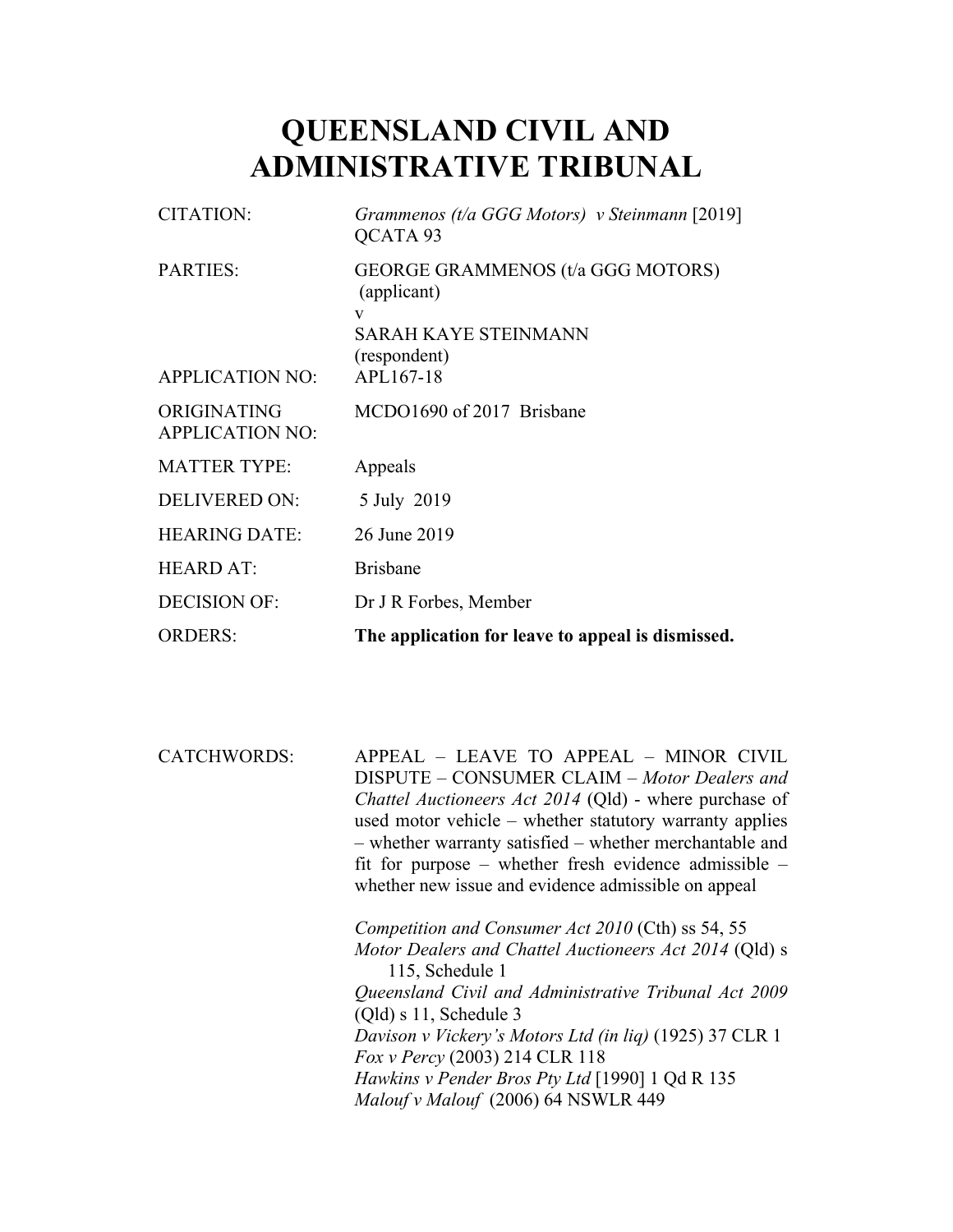# **QUEENSLAND CIVIL AND ADMINISTRATIVE TRIBUNAL**

| <b>CITATION:</b>                          | Grammenos (t/a GGG Motors) v Steinmann [2019]<br>QCATA 93                                                         |
|-------------------------------------------|-------------------------------------------------------------------------------------------------------------------|
| <b>PARTIES:</b><br><b>APPLICATION NO:</b> | GEORGE GRAMMENOS (t/a GGG MOTORS)<br>(applicant)<br>V<br><b>SARAH KAYE STEINMANN</b><br>(respondent)<br>APL167-18 |
| ORIGINATING<br><b>APPLICATION NO:</b>     | MCDO1690 of 2017 Brisbane                                                                                         |
| <b>MATTER TYPE:</b>                       | Appeals                                                                                                           |
| <b>DELIVERED ON:</b>                      | 5 July 2019                                                                                                       |
| <b>HEARING DATE:</b>                      | 26 June 2019                                                                                                      |
| <b>HEARD AT:</b>                          | <b>Brisbane</b>                                                                                                   |
| <b>DECISION OF:</b>                       | Dr J R Forbes, Member                                                                                             |
| <b>ORDERS:</b>                            | The application for leave to appeal is dismissed.                                                                 |

CATCHWORDS: APPEAL – LEAVE TO APPEAL – MINOR CIVIL DISPUTE – CONSUMER CLAIM – *Motor Dealers and Chattel Auctioneers Act 2014* (Qld) - where purchase of used motor vehicle – whether statutory warranty applies – whether warranty satisfied – whether merchantable and fit for purpose – whether fresh evidence admissible – whether new issue and evidence admissible on appeal

> *Competition and Consumer Act 2010* (Cth) ss 54, 55 *Motor Dealers and Chattel Auctioneers Act 2014* (Qld) s 115, Schedule 1 *Queensland Civil and Administrative Tribunal Act 2009*  (Qld) s 11, Schedule 3 *Davison v Vickery's Motors Ltd (in liq)* (1925) 37 CLR 1 *Fox v Percy* (2003) 214 CLR 118 *Hawkins v Pender Bros Pty Ltd* [1990] 1 Qd R 135 *Malouf v Malouf* (2006) 64 NSWLR 449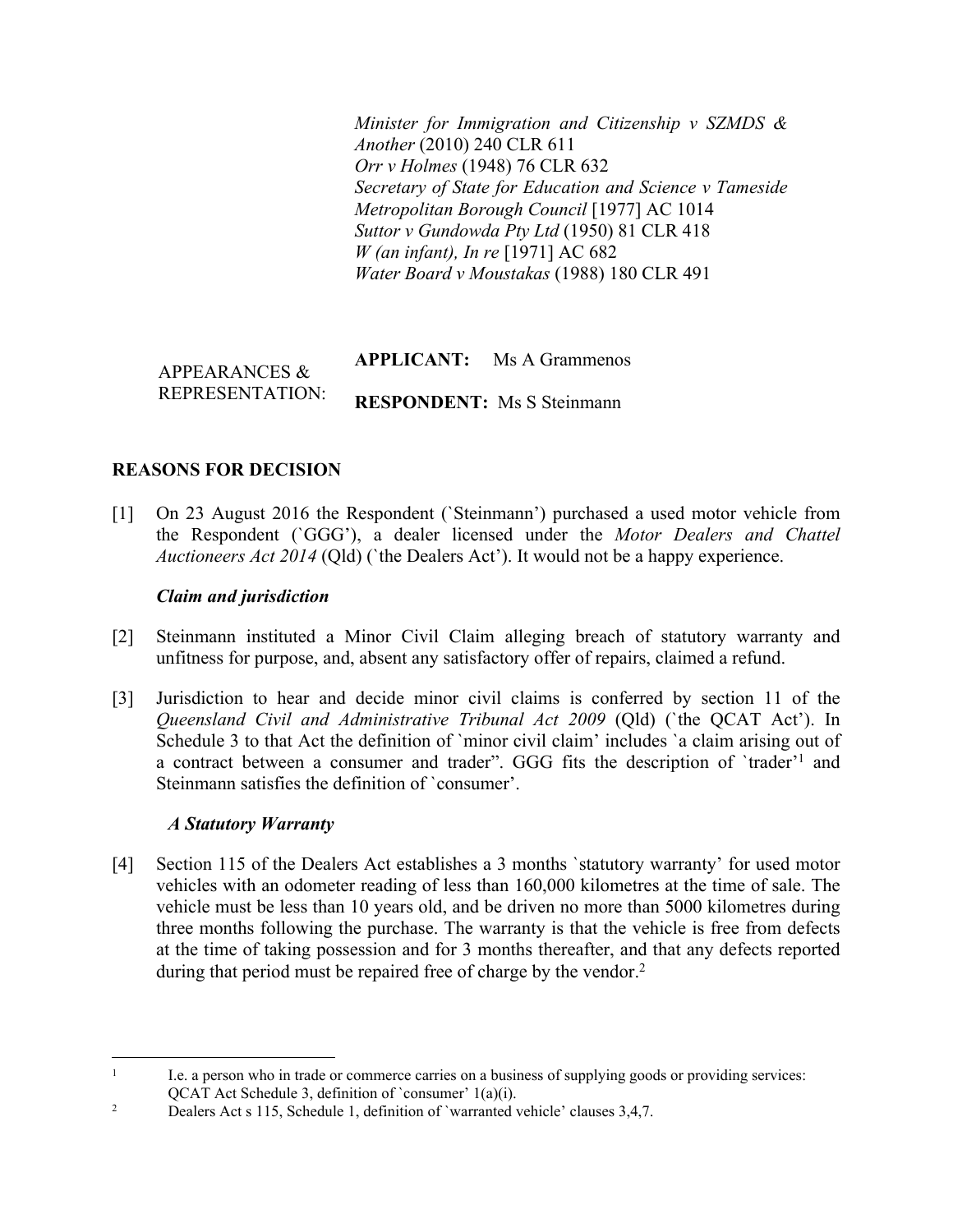*Minister for Immigration and Citizenship v SZMDS & Another* (2010) 240 CLR 611 *Orr v Holmes* (1948) 76 CLR 632 *Secretary of State for Education and Science v Tameside Metropolitan Borough Council* [1977] AC 1014 *Suttor v Gundowda Pty Ltd* (1950) 81 CLR 418 *W (an infant), In re* [1971] AC 682 *Water Board v Moustakas* (1988) 180 CLR 491

#### APPEARANCES & REPRESENTATION: **APPLICANT:** Ms A Grammenos **RESPONDENT:** Ms S Steinmann

# **REASONS FOR DECISION**

[1] On 23 August 2016 the Respondent (`Steinmann') purchased a used motor vehicle from the Respondent (`GGG'), a dealer licensed under the *Motor Dealers and Chattel Auctioneers Act 2014* (Qld) (`the Dealers Act'). It would not be a happy experience.

## *Claim and jurisdiction*

- [2] Steinmann instituted a Minor Civil Claim alleging breach of statutory warranty and unfitness for purpose, and, absent any satisfactory offer of repairs, claimed a refund.
- [3] Jurisdiction to hear and decide minor civil claims is conferred by section 11 of the *Queensland Civil and Administrative Tribunal Act 2009* (Qld) (`the QCAT Act'). In Schedule 3 to that Act the definition of `minor civil claim' includes `a claim arising out of a contract between a consumer and trader". GGG fits the description of `trader'<sup>1</sup> and Steinmann satisfies the definition of `consumer'.

#### *A Statutory Warranty*

[4] Section 115 of the Dealers Act establishes a 3 months 'statutory warranty' for used motor vehicles with an odometer reading of less than 160,000 kilometres at the time of sale. The vehicle must be less than 10 years old, and be driven no more than 5000 kilometres during three months following the purchase. The warranty is that the vehicle is free from defects at the time of taking possession and for 3 months thereafter, and that any defects reported during that period must be repaired free of charge by the vendor.<sup>2</sup>

<sup>1</sup> I.e. a person who in trade or commerce carries on a business of supplying goods or providing services: QCAT Act Schedule 3, definition of `consumer' 1(a)(i).

<sup>2</sup> Dealers Act s 115, Schedule 1, definition of `warranted vehicle' clauses 3,4,7.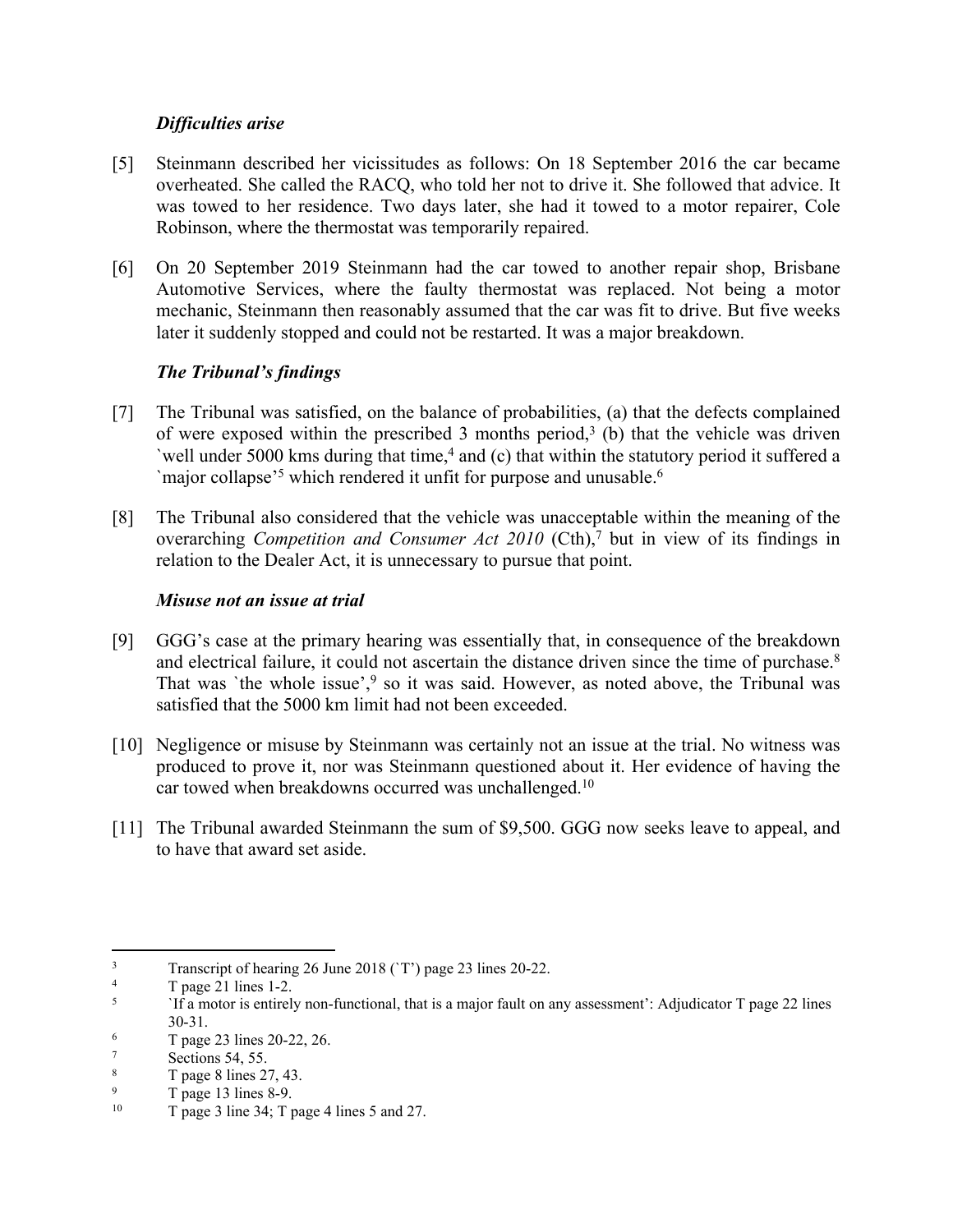## *Difficulties arise*

- [5] Steinmann described her vicissitudes as follows: On 18 September 2016 the car became overheated. She called the RACQ, who told her not to drive it. She followed that advice. It was towed to her residence. Two days later, she had it towed to a motor repairer, Cole Robinson, where the thermostat was temporarily repaired.
- [6] On 20 September 2019 Steinmann had the car towed to another repair shop, Brisbane Automotive Services, where the faulty thermostat was replaced. Not being a motor mechanic, Steinmann then reasonably assumed that the car was fit to drive. But five weeks later it suddenly stopped and could not be restarted. It was a major breakdown.

# *The Tribunal's findings*

- [7] The Tribunal was satisfied, on the balance of probabilities, (a) that the defects complained of were exposed within the prescribed 3 months period,<sup>3</sup> (b) that the vehicle was driven `well under 5000 kms during that time,<sup>4</sup> and (c) that within the statutory period it suffered a `major collapse'<sup>5</sup> which rendered it unfit for purpose and unusable.<sup>6</sup>
- [8] The Tribunal also considered that the vehicle was unacceptable within the meaning of the overarching *Competition and Consumer Act 2010* (Cth),<sup>7</sup> but in view of its findings in relation to the Dealer Act, it is unnecessary to pursue that point.

#### *Misuse not an issue at trial*

- [9] GGG's case at the primary hearing was essentially that, in consequence of the breakdown and electrical failure, it could not ascertain the distance driven since the time of purchase.<sup>8</sup> That was 'the whole issue',<sup>9</sup> so it was said. However, as noted above, the Tribunal was satisfied that the 5000 km limit had not been exceeded.
- [10] Negligence or misuse by Steinmann was certainly not an issue at the trial. No witness was produced to prove it, nor was Steinmann questioned about it. Her evidence of having the car towed when breakdowns occurred was unchallenged.<sup>10</sup>
- [11] The Tribunal awarded Steinmann the sum of \$9,500. GGG now seeks leave to appeal, and to have that award set aside.

<sup>3</sup> Transcript of hearing 26 June 2018 (`T') page 23 lines 20-22.

<sup>4</sup> T page 21 lines 1-2.

<sup>5</sup> `If a motor is entirely non-functional, that is a major fault on any assessment': Adjudicator T page 22 lines 30-31.

<sup>6</sup> T page 23 lines 20-22, 26.

<sup>7</sup> Sections 54, 55.

<sup>8</sup> T page 8 lines 27, 43.

<sup>9</sup>  $T$  page 13 lines 8-9.<br>  $T$  page 3 line 34:  $T$  r

<sup>10</sup> T page 3 line 34; T page 4 lines 5 and 27.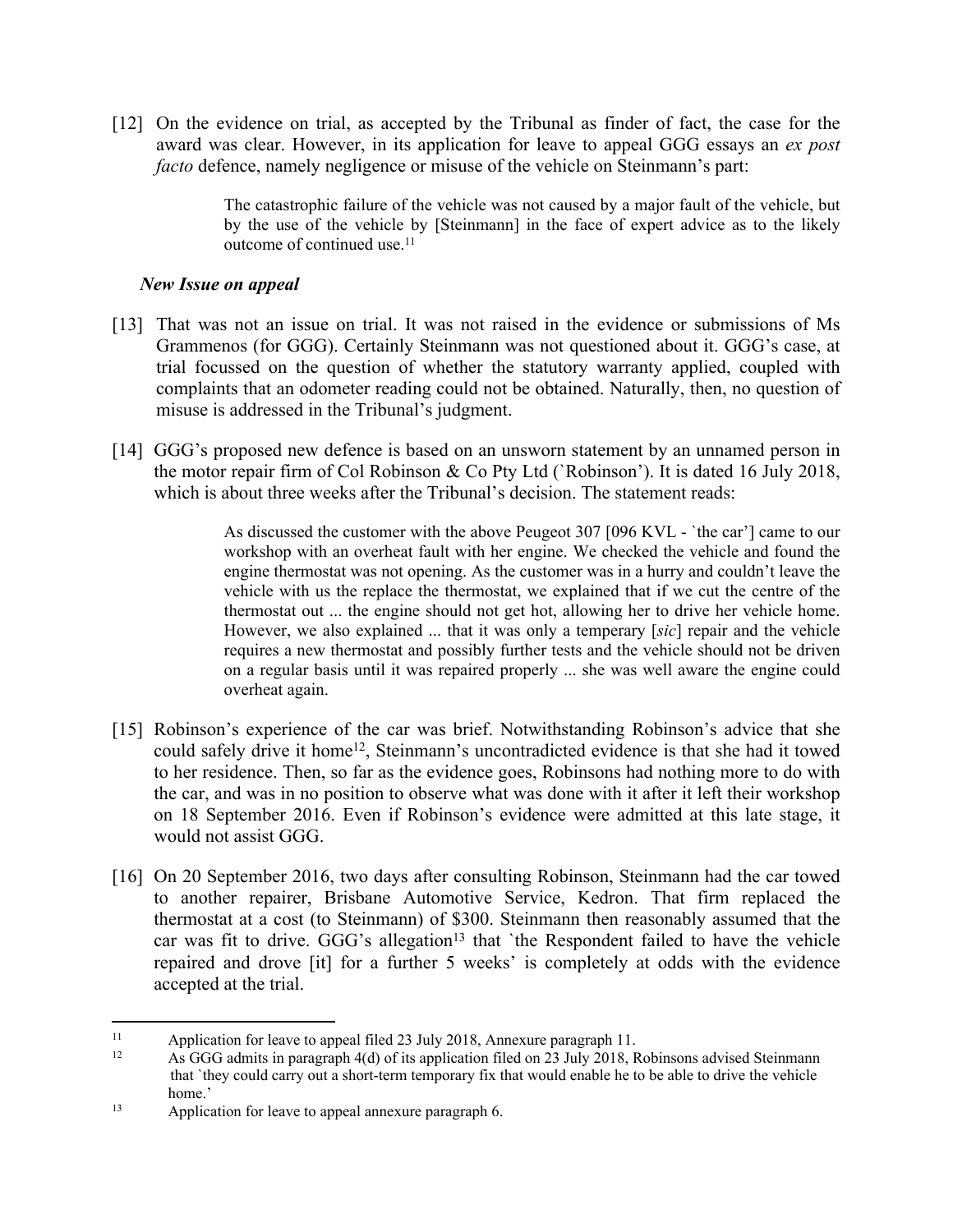[12] On the evidence on trial, as accepted by the Tribunal as finder of fact, the case for the award was clear. However, in its application for leave to appeal GGG essays an *ex post facto* defence, namely negligence or misuse of the vehicle on Steinmann's part:

> The catastrophic failure of the vehicle was not caused by a major fault of the vehicle, but by the use of the vehicle by [Steinmann] in the face of expert advice as to the likely outcome of continued use.<sup>11</sup>

#### *New Issue on appeal*

- [13] That was not an issue on trial. It was not raised in the evidence or submissions of Ms Grammenos (for GGG). Certainly Steinmann was not questioned about it. GGG's case, at trial focussed on the question of whether the statutory warranty applied, coupled with complaints that an odometer reading could not be obtained. Naturally, then, no question of misuse is addressed in the Tribunal's judgment.
- [14] GGG's proposed new defence is based on an unsworn statement by an unnamed person in the motor repair firm of Col Robinson & Co Pty Ltd (`Robinson'). It is dated 16 July 2018, which is about three weeks after the Tribunal's decision. The statement reads:

As discussed the customer with the above Peugeot 307 [096 KVL - `the car'] came to our workshop with an overheat fault with her engine. We checked the vehicle and found the engine thermostat was not opening. As the customer was in a hurry and couldn't leave the vehicle with us the replace the thermostat, we explained that if we cut the centre of the thermostat out ... the engine should not get hot, allowing her to drive her vehicle home. However, we also explained ... that it was only a temperary [*sic*] repair and the vehicle requires a new thermostat and possibly further tests and the vehicle should not be driven on a regular basis until it was repaired properly ... she was well aware the engine could overheat again.

- [15] Robinson's experience of the car was brief. Notwithstanding Robinson's advice that she could safely drive it home<sup>12</sup>, Steinmann's uncontradicted evidence is that she had it towed to her residence. Then, so far as the evidence goes, Robinsons had nothing more to do with the car, and was in no position to observe what was done with it after it left their workshop on 18 September 2016. Even if Robinson's evidence were admitted at this late stage, it would not assist GGG.
- [16] On 20 September 2016, two days after consulting Robinson, Steinmann had the car towed to another repairer, Brisbane Automotive Service, Kedron. That firm replaced the thermostat at a cost (to Steinmann) of \$300. Steinmann then reasonably assumed that the car was fit to drive. GGG's allegation<sup>13</sup> that 'the Respondent failed to have the vehicle repaired and drove [it] for a further 5 weeks' is completely at odds with the evidence accepted at the trial.

<sup>&</sup>lt;sup>11</sup> Application for leave to appeal filed 23 July 2018, Annexure paragraph 11.<br>As GGG admits in paragraph  $A(d)$  of its application filed on 23 July 2018. B

As GGG admits in paragraph  $4(d)$  of its application filed on 23 July 2018, Robinsons advised Steinmann that `they could carry out a short-term temporary fix that would enable he to be able to drive the vehicle home.'

<sup>13</sup> Application for leave to appeal annexure paragraph 6.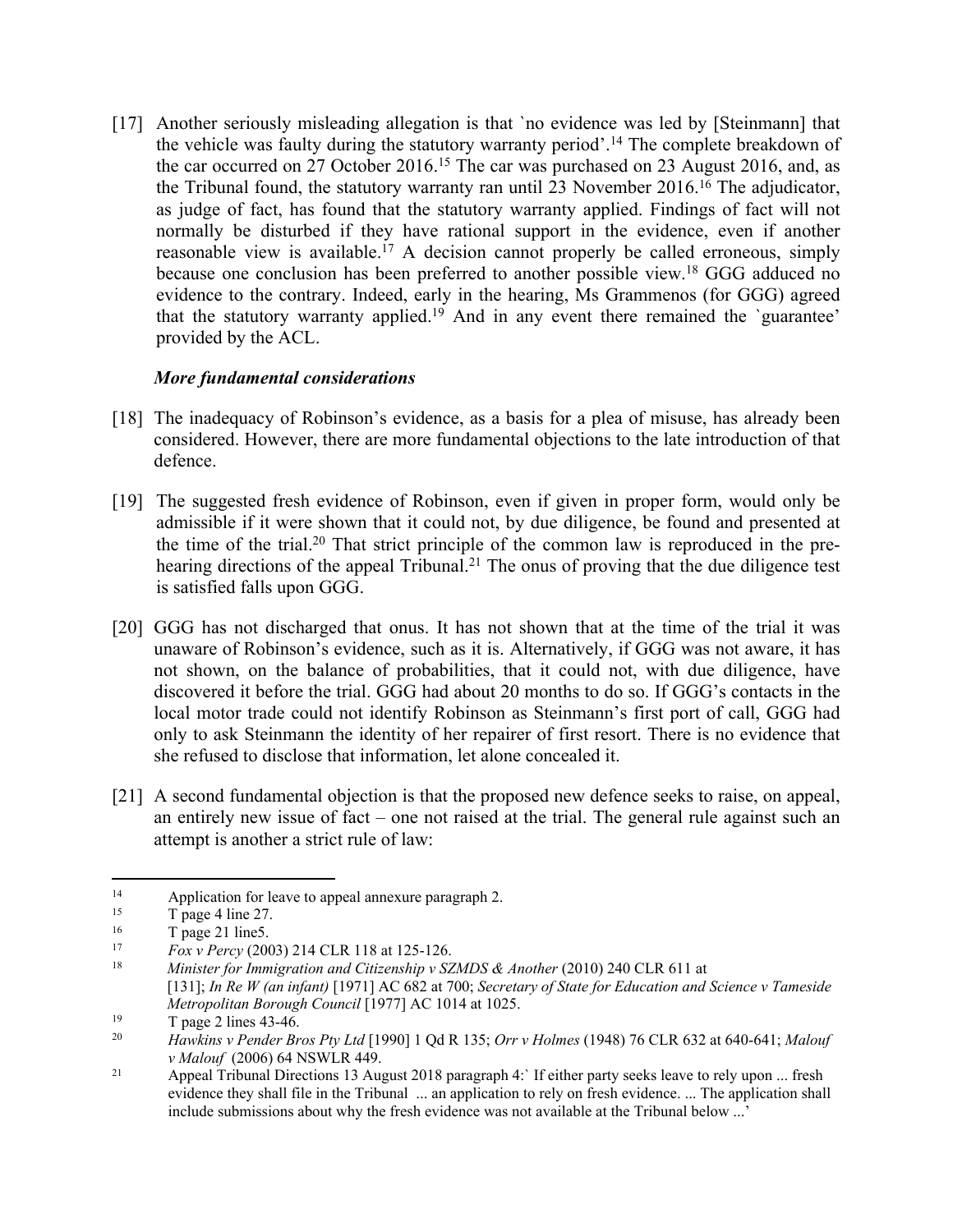[17] Another seriously misleading allegation is that 'no evidence was led by [Steinmann] that the vehicle was faulty during the statutory warranty period'.<sup>14</sup> The complete breakdown of the car occurred on 27 October 2016.<sup>15</sup> The car was purchased on 23 August 2016, and, as the Tribunal found, the statutory warranty ran until 23 November 2016.<sup>16</sup> The adjudicator, as judge of fact, has found that the statutory warranty applied. Findings of fact will not normally be disturbed if they have rational support in the evidence, even if another reasonable view is available.<sup>17</sup> A decision cannot properly be called erroneous, simply because one conclusion has been preferred to another possible view.<sup>18</sup> GGG adduced no evidence to the contrary. Indeed, early in the hearing, Ms Grammenos (for GGG) agreed that the statutory warranty applied.<sup>19</sup> And in any event there remained the `guarantee' provided by the ACL.

# *More fundamental considerations*

- [18] The inadequacy of Robinson's evidence, as a basis for a plea of misuse, has already been considered. However, there are more fundamental objections to the late introduction of that defence.
- [19] The suggested fresh evidence of Robinson, even if given in proper form, would only be admissible if it were shown that it could not, by due diligence, be found and presented at the time of the trial.20 That strict principle of the common law is reproduced in the prehearing directions of the appeal Tribunal.<sup>21</sup> The onus of proving that the due diligence test is satisfied falls upon GGG.
- [20] GGG has not discharged that onus. It has not shown that at the time of the trial it was unaware of Robinson's evidence, such as it is. Alternatively, if GGG was not aware, it has not shown, on the balance of probabilities, that it could not, with due diligence, have discovered it before the trial. GGG had about 20 months to do so. If GGG's contacts in the local motor trade could not identify Robinson as Steinmann's first port of call, GGG had only to ask Steinmann the identity of her repairer of first resort. There is no evidence that she refused to disclose that information, let alone concealed it.
- [21] A second fundamental objection is that the proposed new defence seeks to raise, on appeal, an entirely new issue of fact – one not raised at the trial. The general rule against such an attempt is another a strict rule of law:

<sup>&</sup>lt;sup>14</sup> Application for leave to appeal annexure paragraph 2.<br>  $\frac{15}{2}$  T page 4 line 27

 $\frac{15}{16}$  T page 4 line 27.

 $\frac{16}{17}$  T page 21 line5.

<sup>17</sup> *Fox v Percy* (2003) 214 CLR 118 at 125-126.

<sup>18</sup> *Minister for Immigration and Citizenship v SZMDS & Another* (2010) 240 CLR 611 at [131]; *In Re W (an infant)* [1971] AC 682 at 700; *Secretary of State for Education and Science v Tameside Metropolitan Borough Council* [1977] AC 1014 at 1025.

<sup>19</sup> T page 2 lines 43-46.

<sup>20</sup> *Hawkins v Pender Bros Pty Ltd* [1990] 1 Qd R 135; *Orr v Holmes* (1948) 76 CLR 632 at 640-641; *Malouf v Malouf* (2006) 64 NSWLR 449.

<sup>&</sup>lt;sup>21</sup> Appeal Tribunal Directions 13 August 2018 paragraph 4: If either party seeks leave to rely upon ... fresh evidence they shall file in the Tribunal ... an application to rely on fresh evidence. ... The application shall include submissions about why the fresh evidence was not available at the Tribunal below ...'